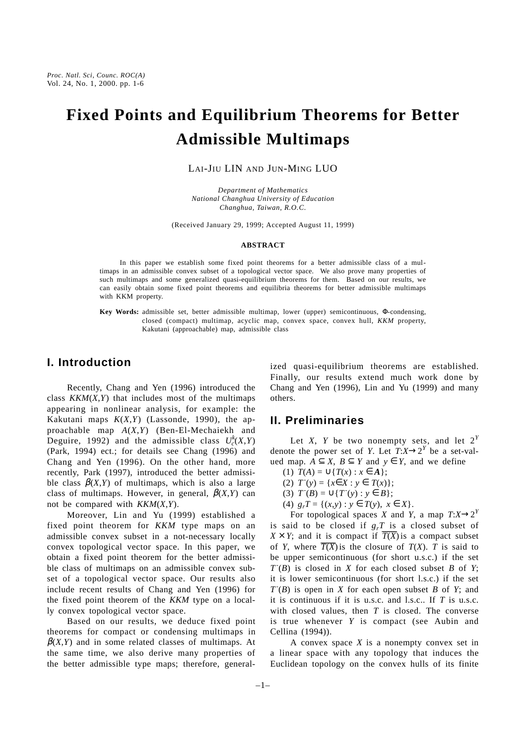# **Fixed Points and Equilibrium Theorems for Better Admissible Multimaps**

LAI-JIU LIN AND JUN-MING LUO

*Department of Mathematics National Changhua University of Education Changhua, Taiwan, R.O.C.*

(Received January 29, 1999; Accepted August 11, 1999)

#### **ABSTRACT**

In this paper we establish some fixed point theorems for a better admissible class of a multimaps in an admissible convex subset of a topological vector space. We also prove many properties of such multimaps and some generalized quasi-equilibrium theorems for them. Based on our results, we can easily obtain some fixed point theorems and equilibria theorems for better admissible multimaps with KKM property.

**Key Words:** admissible set, better admissible multimap, lower (upper) semicontinuous, Φ-condensing, closed (compact) multimap, acyclic map, convex space, convex hull, *KKM* property, Kakutani (approachable) map, admissible class

## **I. Introduction**

Recently, Chang and Yen (1996) introduced the class *KKM*(*X*,*Y*) that includes most of the multimaps appearing in nonlinear analysis, for example: the Kakutani maps  $K(X, Y)$  (Lassonde, 1990), the approachable map *A*(*X*,*Y*) (Ben-El-Mechaiekh and Deguire, 1992) and the admissible class  $U_c^k(X,Y)$ (Park, 1994) ect.; for details see Chang (1996) and Chang and Yen (1996). On the other hand, more recently, Park (1997), introduced the better admissible class  $\beta(X,Y)$  of multimaps, which is also a large class of multimaps. However, in general,  $\beta(X,Y)$  can not be compared with *KKM*(*X*,*Y*).

Moreover, Lin and Yu (1999) established a fixed point theorem for *KKM* type maps on an admissible convex subset in a not-necessary locally convex topological vector space. In this paper, we obtain a fixed point theorem for the better admissible class of multimaps on an admissible convex subset of a topological vector space. Our results also include recent results of Chang and Yen (1996) for the fixed point theorem of the *KKM* type on a locally convex topological vector space.

Based on our results, we deduce fixed point theorems for compact or condensing multimaps in  $\beta(X,Y)$  and in some related classes of multimaps. At the same time, we also derive many properties of the better admissible type maps; therefore, generalized quasi-equilibrium theorems are established. Finally, our results extend much work done by Chang and Yen (1996), Lin and Yu (1999) and many others.

### **II. Preliminaries**

Let *X*, *Y* be two nonempty sets, and let  $2^Y$ denote the power set of *Y*. Let  $T: X \rightarrow 2^Y$  be a set-valued map. *A* ⊆ *X*, *B* ⊆ *Y* and *y* ∈ *Y*, and we define

- (1)  $T(A) = ∪{T(x) : x ∈ A};$
- (2)  $T(y) = {x∈X : y ∈ T(x)};$
- (3)  $T^{-}(B) = \cup \{T^{-}(y) : y \in B\};$
- (4)  $g_rT = \{(x,y) : y \in T(y), x \in X\}.$

For topological spaces *X* and *Y*, a map  $T: X \rightarrow 2^Y$ is said to be closed if  $g_rT$  is a closed subset of  $X \times Y$ ; and it is compact if  $\overline{T(X)}$  is a compact subset of *Y*, where  $\overline{T(X)}$  is the closure of  $T(X)$ . *T* is said to be upper semicontinuous (for short u.s.c.) if the set  $T(B)$  is closed in *X* for each closed subset *B* of *Y*; it is lower semicontinuous (for short l.s.c.) if the set  $T(B)$  is open in *X* for each open subset *B* of *Y*; and it is continuous if it is u.s.c. and l.s.c.. If *T* is u.s.c. with closed values, then *T* is closed. The converse is true whenever *Y* is compact (see Aubin and Cellina (1994)).

A convex space *X* is a nonempty convex set in a linear space with any topology that induces the Euclidean topology on the convex hulls of its finite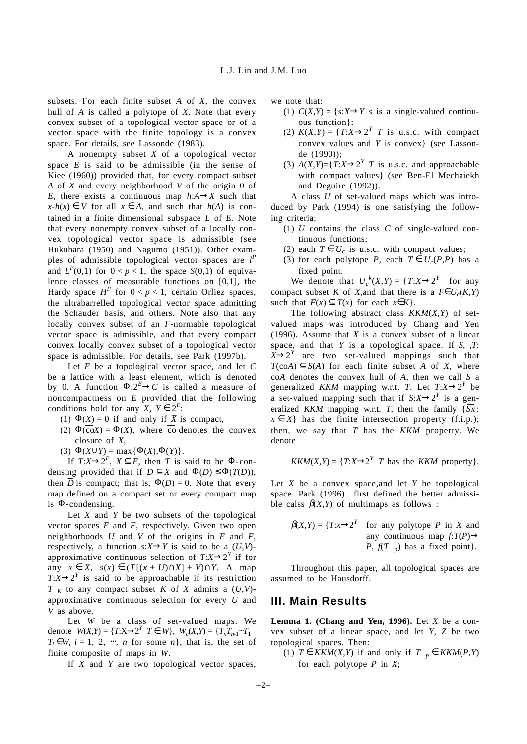subsets. For each finite subset *A* of *X*, the convex hull of *A* is called a polytope of *X*. Note that every convex subset of a topological vector space or of a vector space with the finite topology is a convex space. For details, see Lassonde (1983).

A nonempty subset *X* of a topological vector space *E* is said to be admissible (in the sense of Kiee (1960)) provided that, for every compact subset *A* of *X* and every neighborhood *V* of the origin 0 of *E*, there exists a continuous map  $h: A \rightarrow X$  such that  $x-h(x) \in V$  for all  $x \in A$ , and such that  $h(A)$  is contained in a finite dimensional subspace *L* of *E*. Note that every nonempty convex subset of a locally convex topological vector space is admissible (see Hukuhara (1950) and Nagumo (1951)). Other examples of admissible topological vector spaces are *l P* and  $L^P(0,1)$  for  $0 < p < 1$ , the space  $S(0,1)$  of equivalence classes of measurable functions on  $[0,1]$ , the Hardy space  $H^P$  for  $0 < p < 1$ , certain Orliez spaces, the ultrabarrelled topological vector space admitting the Schauder basis, and others. Note also that any locally convex subset of an *F*-normable topological vector space is admissible, and that every compact convex locally convex subset of a topological vector space is admissible. For details, see Park (1997b).

Let *E* be a topological vector space, and let *C* be a lattice with a least element, which is denoted by 0. A function  $\Phi: 2^E \to C$  is called a measure of noncompactness on *E* provided that the following conditions hold for any  $X, Y \in 2^E$ :

- (1)  $\Phi(X) = 0$  if and only if  $\overline{X}$  is compact,
- (2)  $\Phi(\overline{\text{co}}X) = \Phi(X)$ , where co-denotes the convex closure of *X*,
- (3)  $\Phi(X \cup Y) = \max{\Phi(X), \Phi(Y)}.$

If  $T: X \to 2^E$ ,  $X \subseteq E$ , then *T* is said to be  $\Phi$ -condensing provided that if  $D \subseteq X$  and  $\Phi(D) \leq \Phi(T(D))$ , then  $\overline{D}$  is compact; that is,  $\Phi(D) = 0$ . Note that every map defined on a compact set or every compact map is Φ-condensing.

Let *X* and *Y* be two subsets of the topological vector spaces *E* and *F*, respectively. Given two open neighborhoods *U* and *V* of the origins in *E* and *F*, respectively, a function  $s: X \rightarrow Y$  is said to be a  $(U, V)$ approximative continuous selection of  $T: X \rightarrow 2^Y$  if for any  $x \in X$ ,  $s(x) \in (T[(x + U) \cap X] + V) \cap Y$ . A map  $T:X\rightarrow 2^Y$  is said to be approachable if its restriction  $T|_K$  to any compact subset *K* of *X* admits a  $(U,V)$ approximative continuous selection for every *U* and *V* as above.

Let *W* be a class of set-valued maps. We denote  $W(X,Y) = \{T:X \to 2^Y | T \in W\}$ ,  $W_c(X,Y) = \{T_n T_{n-1} \cdots T_1 |$  $T_i \in W$ ,  $i = 1, 2, \dots, n$  for some *n*, that is, the set of finite composite of maps in *W*.

If *X* and *Y* are two topological vector spaces,

we note that:

- (1)  $C(X,Y) = \{s: X \rightarrow Y | s \text{ is a single-valued continuous} \}$ ous function};
- (2)  $K(X,Y) = \{T:X \rightarrow 2^Y | T \text{ is u.s.c. with compact } X \in \mathbb{R}^N\}$ convex values and *Y* is convex} (see Lassonde (1990));
- (3)  $A(X,Y) = \{T:X \rightarrow 2^Y | T \text{ is u.s.c. and approachable}$ with compact values} (see Ben-El Mechaiekh and Deguire (1992)).

A class *U* of set-valued maps which was introduced by Park (1994) is one satisfying the following criteria:

- (1) *U* contains the class *C* of single-valued continuous functions;
- (2) each  $T \in U_c$  is u.s.c. with compact values;
- (3) for each polytope *P*, each  $T \in U_c(P,P)$  has a fixed point.

We denote that  $U_c^k(X,Y) = \{T:X \rightarrow 2^Y \mid \text{ for any }$ compact subset *K* of *X*,and that there is a  $F \in U_c(K,Y)$ such that  $F(x) \subseteq T(x)$  for each  $x \in K$ .

The following abstract class *KKM*(*X*,*Y*) of setvalued maps was introduced by Chang and Yen (1996). Assume that *X* is a convex subset of a linear space, and that *Y* is a topological space. If *S*, ,*T*:  $X \rightarrow 2^Y$  are two set-valued mappings such that  $T(\text{coA}) \subseteq S(A)$  for each finite subset *A* of *X*, where co*A* denotes the convex hull of *A*, then we call *S* a generalized *KKM* mapping w.r.t. *T*. Let  $T: X \rightarrow 2^Y$  be a set-valued mapping such that if  $S: X \rightarrow 2^Y$  is a generalized *KKM* mapping w.r.t. *T*, then the family  $\{\overline{Sx}$ :  $x \in X$ } has the finite intersection property (f.i.p.); then, we say that *T* has the *KKM* property. We denote

$$
KKM(X,Y) = \{T:X\rightarrow 2^Y | T \text{ has the } KKM \text{ property}\}.
$$

Let *X* be a convex space,and let *Y* be topological space. Park (1996) first defined the better admissible calss  $\beta(X,Y)$  of multimaps as follows :

$$
\beta(X,Y) = \{T:x \rightarrow 2^Y \mid \text{ for any polytope } P \text{ in } X \text{ and}
$$
  
any continuous map  $f: T(P) \rightarrow P$ ,  $f(T|_p)$  has a fixed point.

Throughout this paper, all topological spaces are assumed to be Hausdorff.

#### **III. Main Results**

**Lemma 1. (Chang and Yen, 1996).** Let *X* be a convex subset of a linear space, and let *Y*, *Z* be two topological spaces. Then:

(1) *T* ∈ *KKM*(*X,Y*) if and only if  $T|_p$  ∈ *KKM*(*P,Y*) for each polytope *P* in *X*;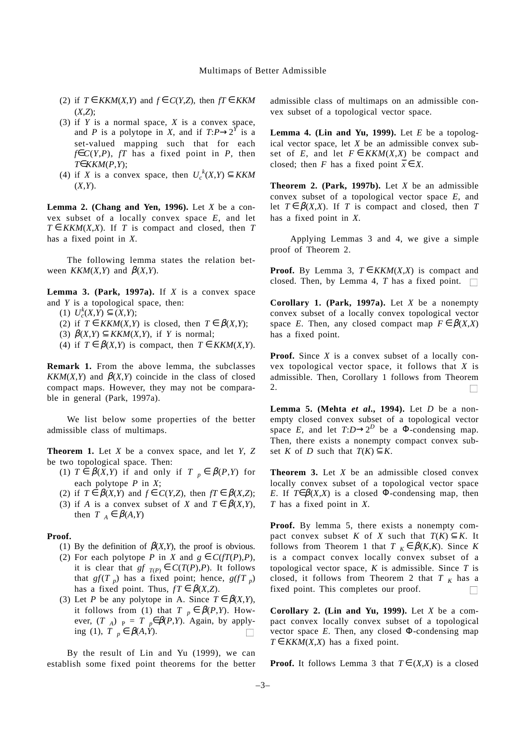- (2) if *T* ∈ *KKM*(*X,Y*) and *f* ∈ *C*(*Y,Z*), then *fT* ∈ *KKM*  $(X, Z)$ <sup>;</sup>
- (3) if *Y* is a normal space, *X* is a convex space, and *P* is a polytope in *X*, and if  $T: P \rightarrow 2^Y$  is a set-valued mapping such that for each *f*∈ $C(Y, P)$ , *fT* has a fixed point in *P*, then *T*∈*KKM*(*P*,*Y*);
- (4) if *X* is a convex space, then  $U_c^k(X,Y) \subseteq KKM$ (*X*,*Y*).

**Lemma 2. (Chang and Yen, 1996).** Let *X* be a convex subset of a locally convex space *E*, and let  $T \in KKM(X,X)$ . If *T* is compact and closed, then *T* has a fixed point in *X*.

The following lemma states the relation between *KKM*(*X,Y*) and  $\beta$ (*X,Y*).

**Lemma 3. (Park, 1997a).** If *X* is a convex space and *Y* is a topological space, then:

 $(U_c^k(X, Y) \subseteq (X, Y);$ 

(2) if  $T \in KKM(X,Y)$  is closed, then  $T \in \beta(X,Y)$ ;

(3)  $\beta(X,Y) \subseteq KKM(X,Y)$ , if *Y* is normal;

(4) if  $T \in \beta(X,Y)$  is compact, then  $T \in KKM(X,Y)$ .

**Remark 1.** From the above lemma, the subclasses *KKM* $(X, Y)$  and  $\beta(X, Y)$  coincide in the class of closed compact maps. However, they may not be comparable in general (Park, 1997a).

We list below some properties of the better admissible class of multimaps.

**Theorem 1.** Let *X* be a convex space, and let *Y*, *Z* be two topological space. Then:

- (1)  $T \in \beta(X,Y)$  if and only if  $T|_p \in \beta(P,Y)$  for each polytope *P* in *X*;
- (2) if  $T \in \beta(X,Y)$  and  $f \in C(Y,Z)$ , then  $fT \in \beta(X,Z)$ ;
- (3) if *A* is a convex subset of *X* and  $T \in \beta(X,Y)$ , then  $T|_A \in \beta(A, Y)$

#### **Proof.**

- (1) By the definition of  $\beta$ (*X*,*Y*), the proof is obvious.
- (2) For each polytope *P* in *X* and  $g \in C(fT(P), P)$ , it is clear that  $gf|_{T(P)} \in C(T(P), P)$ . It follows that  $gf(T|_p)$  has a fixed point; hence,  $g(fT|_p)$ has a fixed point. Thus,  $fT \in \beta(X,Z)$ .
- (3) Let *P* be any polytope in A. Since  $T \in \beta(X,Y)$ , it follows from (1) that  $T|_p \in \beta(P,Y)$ . However,  $(T|_A)|_P = T|_P \in \beta(P,Y)$ . Again, by applying (1), *T* $|p ∈ β(A, Y)|$ .  $\Box$

By the result of Lin and Yu (1999), we can establish some fixed point theorems for the better admissible class of multimaps on an admissible convex subset of a topological vector space.

**Lemma 4. (Lin and Yu, 1999).** Let  $E$  be a topological vector space, let *X* be an admissible convex subset of *E*, and let  $F \in KKM(X,X)$  be compact and closed; then *F* has a fixed point  $\overline{x} \in X$ .

**Theorem 2. (Park, 1997b).** Let *X* be an admissible convex subset of a topological vector space *E*, and let  $T \in \beta(X,X)$ . If *T* is compact and closed, then *T* has a fixed point in *X*.

Applying Lemmas 3 and 4, we give a simple proof of Theorem 2.

**Proof.** By Lemma 3,  $T \in KKM(X,X)$  is compact and closed. Then, by Lemma 4, *T* has a fixed point.  $\Box$ 

**Corollary 1. (Park, 1997a).** Let *X* be a nonempty convex subset of a locally convex topological vector space *E*. Then, any closed compact map  $F \in \beta(X,X)$ has a fixed point.

**Proof.** Since *X* is a convex subset of a locally convex topological vector space, it follows that *X* is admissible. Then, Corollary 1 follows from Theorem 2.

**Lemma 5. (Mehta** *et al***., 1994).** Let *D* be a nonempty closed convex subset of a topological vector space *E*, and let  $T: D \rightarrow 2^D$  be a  $\Phi$ -condensing map. Then, there exists a nonempty compact convex subset *K* of *D* such that  $T(K) \subseteq K$ .

**Theorem 3.** Let *X* be an admissible closed convex locally convex subset of a topological vector space *E*. If  $T \in \beta(X,X)$  is a closed  $\Phi$ -condensing map, then *T* has a fixed point in *X*.

Proof. By lemma 5, there exists a nonempty compact convex subset *K* of *X* such that  $T(K) \subseteq K$ . It follows from Theorem 1 that  $T|_K \in \beta(K,K)$ . Since K is a compact convex locally convex subset of a topological vector space,  $K$  is admissible. Since  $T$  is closed, it follows from Theorem 2 that  $T|_K$  has a fixed point. This completes our proof.

**Corollary 2. (Lin and Yu, 1999).** Let *X* be a compact convex locally convex subset of a topological vector space  $E$ . Then, any closed  $\Phi$ -condensing map  $T \in KKM(X,X)$  has a fixed point.

**Proof.** It follows Lemma 3 that  $T \in (X,X)$  is a closed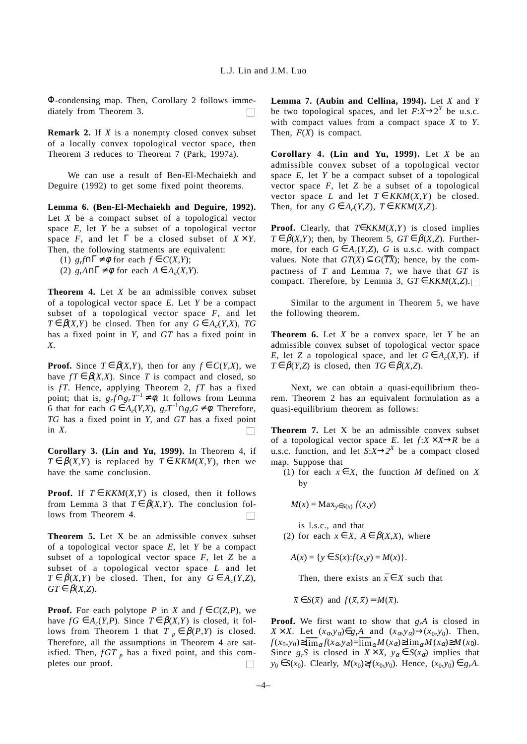Φ-condensing map. Then, Corollary 2 follows immediately from Theorem 3.

**Remark 2.** If *X* is a nonempty closed convex subset of a locally convex topological vector space, then Theorem 3 reduces to Theorem 7 (Park, 1997a).

We can use a result of Ben-El-Mechaiekh and Deguire (1992) to get some fixed point theorems.

**Lemma 6. (Ben-El-Mechaiekh and Deguire, 1992).** Let *X* be a compact subset of a topological vector space *E*, let *Y* be a subset of a topological vector space *F*, and let  $\Gamma$  be a closed subset of  $X \times Y$ . Then, the following statments are equivalent:

(1) *grf*∩Γ ≠ φ for each *f* ∈ *C*(*X*,*Y*);

(2)  $g_A A \cap \Gamma \neq \emptyset$  for each  $A \in A_c(X, Y)$ .

**Theorem 4.** Let *X* be an admissible convex subset of a topological vector space *E*. Let *Y* be a compact subset of a topological vector space *F*, and let  $T \in \beta(X,Y)$  be closed. Then for any  $G \in A_c(Y,X)$ , *TG* has a fixed point in *Y*, and *GT* has a fixed point in *X*.

**Proof.** Since  $T \in \beta(X,Y)$ , then for any  $f \in C(Y,X)$ , we have  $fT \in \beta(X,X)$ . Since *T* is compact and closed, so is *fT*. Hence, applying Theorem 2, *fT* has a fixed point; that is,  $g_r f \cap g_r T^{-1} \neq \emptyset$ . It follows from Lemma 6 that for each *G* ∈ *A<sub>c</sub>*(*Y,X*),  $g_rT^{-1}$ ∩ $g_rG \neq \emptyset$ . Therefore, *TG* has a fixed point in *Y*, and *GT* has a fixed point in *X*.

**Corollary 3. (Lin and Yu, 1999).** In Theorem 4, if  $T \in \beta(X,Y)$  is replaced by  $T \in KK M(X,Y)$ , then we have the same conclusion.

**Proof.** If  $T \in KKM(X,Y)$  is closed, then it follows from Lemma 3 that  $T \in \beta(X,Y)$ . The conclusion follows from Theorem 4.  $\sim$ 

**Theorem 5.** Let X be an admissible convex subset of a topological vector space *E*, let *Y* be a compact subset of a topological vector space *F*, let *Z* be a subset of a topological vector space *L* and let  $T \in \beta(X,Y)$  be closed. Then, for any  $G \in A_c(Y,Z)$ ,  $GT \in \beta(X,Z)$ .

**Proof.** For each polytope *P* in *X* and  $f \in C(Z, P)$ , we have  $fG \in A_c(Y,P)$ . Since  $T \in \beta(X,Y)$  is closed, it follows from Theorem 1 that  $T|_p \in \beta(P,Y)$  is closed. Therefore, all the assumptions in Theorem 4 are satisfied. Then,  $fGT|_p$  has a fixed point, and this completes our proof.  $\sim$ 

**Lemma 7. (Aubin and Cellina, 1994).** Let *X* and *Y* be two topological spaces, and let  $F: X \rightarrow 2^Y$  be u.s.c. with compact values from a compact space *X* to *Y*. Then, *F*(*X*) is compact.

**Corollary 4. (Lin and Yu, 1999).** Let *X* be an admissible convex subset of a topological vector space *E*, let *Y* be a compact subset of a topological vector space *F*, let *Z* be a subset of a topological vector space *L* and let  $T \in KKM(X,Y)$  be closed. Then, for any  $G \in A_c(Y,Z)$ ,  $T \in KKM(X,Z)$ .

**Proof.** Clearly, that *T*∈*KKM*(*X*,*Y*) is closed implies *T* ∈  $\beta$ (*X,Y*); then, by Theorem 5,  $GT \in \beta$ (*X,Z*). Furthermore, for each  $G \in A_c(Y,Z)$ , *G* is u.s.c. with compact values. Note that  $GT(X) \subseteq G(\overline{TX})$ ; hence, by the compactness of *T* and Lemma 7, we have that *GT* is compact. Therefore, by Lemma 3,  $GT \in KKM(X,Z)$ .

Similar to the argument in Theorem 5, we have the following theorem.

**Theorem 6.** Let *X* be a convex space, let *Y* be an admissible convex subset of topological vector space *E*, let *Z* a topological space, and let  $G \in A_c(X, Y)$ . if *T* ∈  $\beta(Y,Z)$  is closed, then *TG* ∈  $\beta(X,Z)$ .

Next, we can obtain a quasi-equilibrium theorem. Theorem 2 has an equivalent formulation as a quasi-equilibrium theorem as follows:

**Theorem 7.** Let X be an admissible convex subset of a topological vector space *E*. let  $f: X \times X \rightarrow R$  be a u.s.c. function, and let  $S: X \rightarrow 2^X$  be a compact closed map. Suppose that

(1) for each  $x \in X$ , the function *M* defined on *X* by

$$
M(x) = \text{Max}_{y \in S(x)} f(x, y)
$$

is l.s.c., and that

(2) for each  $x \in X$ ,  $A \in \beta(X,X)$ , where

$$
A(x) = \{ y \in S(x): f(x, y) = M(x) \}.
$$

Then, there exists an  $\bar{x} \in X$  such that

 $\bar{x} \in S(\bar{x})$  and  $f(\bar{x}, \bar{x}) = M(\bar{x})$ .

**Proof.** We first want to show that  $g<sub>r</sub>A$  is closed in  $X \times X$ . Let  $(x_{\alpha}, y_{\alpha}) \in g_r A$  and  $(x_{\alpha}, y_{\alpha}) \to (x_0, y_0)$ . Then,  $f(x_0, y_0) \ge \lim_{\alpha} f(x_\alpha, y_\alpha) = \lim_{\alpha} M(x_\alpha) \ge \lim_{\alpha} M(x_\alpha) \ge M(x_0).$ Since  $g_rS$  is closed in  $X \times X$ ,  $y_\alpha \in S(x_\alpha)$  implies that *y*<sub>0</sub> ∈ *S*(*x*<sub>0</sub>). Clearly, *M*(*x*<sub>0</sub>)≥*f*(*x*<sub>0</sub>,*y*<sub>0</sub>). Hence, (*x*<sub>0</sub>,*y*<sub>0</sub>) ∈ *g<sub>r</sub>A*.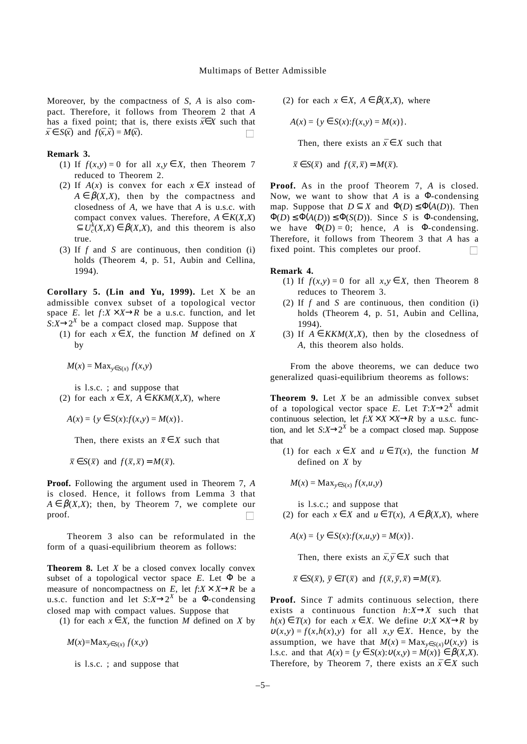Moreover, by the compactness of *S*, *A* is also compact. Therefore, it follows from Theorem 2 that *A* has a fixed point; that is, there exists  $\bar{x} \in X$  such that  $\bar{x} \in S(\bar{x})$  and  $f(\bar{x}, \bar{x}) = M(\bar{x})$ .

#### **Remark 3.**

- (1) If  $f(x,y) = 0$  for all  $x,y \in X$ , then Theorem 7 reduced to Theorem 2.
- (2) If  $A(x)$  is convex for each  $x \in X$  instead of  $A \in \beta(X,X)$ , then by the compactness and closedness of *A*, we have that *A* is u.s.c. with compact convex values. Therefore,  $A \in K(X,X)$  $\subseteq U_c^k(X,X) \in \beta(X,X)$ , and this theorem is also true.
- (3) If *f* and *S* are continuous, then condition (i) holds (Theorem 4, p. 51, Aubin and Cellina, 1994).

**Corollary 5. (Lin and Yu, 1999).** Let X be an admissible convex subset of a topological vector space *E*. let  $f: X \times X \rightarrow R$  be a u.s.c. function, and let  $S: X \rightarrow 2^X$  be a compact closed map. Suppose that

(1) for each  $x \in X$ , the function *M* defined on *X* by

 $M(x) = \text{Max}_{y \in S(x)} f(x, y)$ 

is l.s.c. ; and suppose that (2) for each  $x \in X$ ,  $A \in KKM(X,X)$ , where

$$
A(x) = \{ y \in S(x) : f(x, y) = M(x) \}.
$$

Then, there exists an  $\bar{x} \in X$  such that

 $\bar{x} \in S(\bar{x})$  and  $f(\bar{x}, \bar{x}) = M(\bar{x})$ .

**Proof.** Following the argument used in Theorem 7, *A* is closed. Hence, it follows from Lemma 3 that  $A \in \beta(X,X)$ ; then, by Theorem 7, we complete our proof.  $\sim$ 

Theorem 3 also can be reformulated in the form of a quasi-equilibrium theorem as follows:

**Theorem 8.** Let *X* be a closed convex locally convex subset of a topological vector space *E*. Let Φ be a measure of noncompactness on *E*, let  $f: X \times X \rightarrow R$  be a u.s.c. function and let  $S: X \rightarrow 2^X$  be a  $\Phi$ -condensing closed map with compact values. Suppose that

(1) for each  $x \in X$ , the function *M* defined on *X* by

 $M(x) = Max_{y \in S(x)} f(x,y)$ 

is l.s.c. ; and suppose that

(2) for each  $x \in X$ ,  $A \in \beta(X,X)$ , where

$$
A(x) = \{ y \in S(x) : f(x, y) = M(x) \}.
$$

Then, there exists an  $\bar{x} \in X$  such that

 $\bar{x} \in S(\bar{x})$  and  $f(\bar{x}, \bar{x}) = M(\bar{x})$ .

**Proof.** As in the proof Theorem 7, *A* is closed. Now, we want to show that *A* is a Φ-condensing map. Suppose that  $D \subseteq X$  and  $\Phi(D) \leq \Phi(A(D))$ . Then  $\Phi(D) \leq \Phi(A(D)) \leq \Phi(S(D))$ . Since *S* is  $\Phi$ -condensing, we have  $\Phi(D) = 0$ ; hence, *A* is  $\Phi$ -condensing. Therefore, it follows from Theorem 3 that *A* has a fixed point. This completes our proof.

#### **Remark 4.**

- (1) If  $f(x,y) = 0$  for all  $x,y \in X$ , then Theorem 8 reduces to Theorem 3.
- (2) If *f* and *S* are continuous, then condition (i) holds (Theorem 4, p. 51, Aubin and Cellina, 1994).
- (3) If  $A \in KKM(X,X)$ , then by the closedness of *A*, this theorem also holds.

From the above theorems, we can deduce two generalized quasi-equilibrium theorems as follows:

**Theorem 9.** Let *X* be an admissible convex subset of a topological vector space *E*. Let  $T: X \rightarrow 2^X$  admit continuous selection, let  $f: X \times X \times X \rightarrow R$  by a u.s.c. function, and let  $S: X \rightarrow 2^X$  be a compact closed map. Suppose that

(1) for each  $x \in X$  and  $u \in T(x)$ , the function *M* defined on *X* by

$$
M(x) = \text{Max}_{y \in S(x)} f(x, u, y)
$$

is l.s.c.; and suppose that

(2) for each  $x \in X$  and  $u \in T(x)$ ,  $A \in \beta(X,X)$ , where

 $A(x) = \{ y \in S(x): f(x, u, y) = M(x) \}.$ 

Then, there exists an  $\bar{x}, \bar{y} \in X$  such that

$$
\bar{x} \in S(\bar{x}), \ \bar{y} \in T(\bar{x})
$$
 and  $f(\bar{x}, \bar{y}, \bar{x}) = M(\bar{x}).$ 

**Proof.** Since *T* admits continuous selection, there exists a continuous function  $h: X \rightarrow X$  such that  $h(x) \in T(x)$  for each  $x \in X$ . We define  $v: X \times X \rightarrow R$  by  $v(x,y) = f(x,h(x),y)$  for all  $x,y \in X$ . Hence, by the assumption, we have that  $M(x) = Max_{y \in S(x)}v(x,y)$  is l.s.c. and that *A*(*x*)={*y* ∈ *S*(*x*):υ(*x*,*y*) = *M*(*x*)} ∈ β(*X*,*X*). Therefore, by Theorem 7, there exists an  $\bar{x} \in X$  such